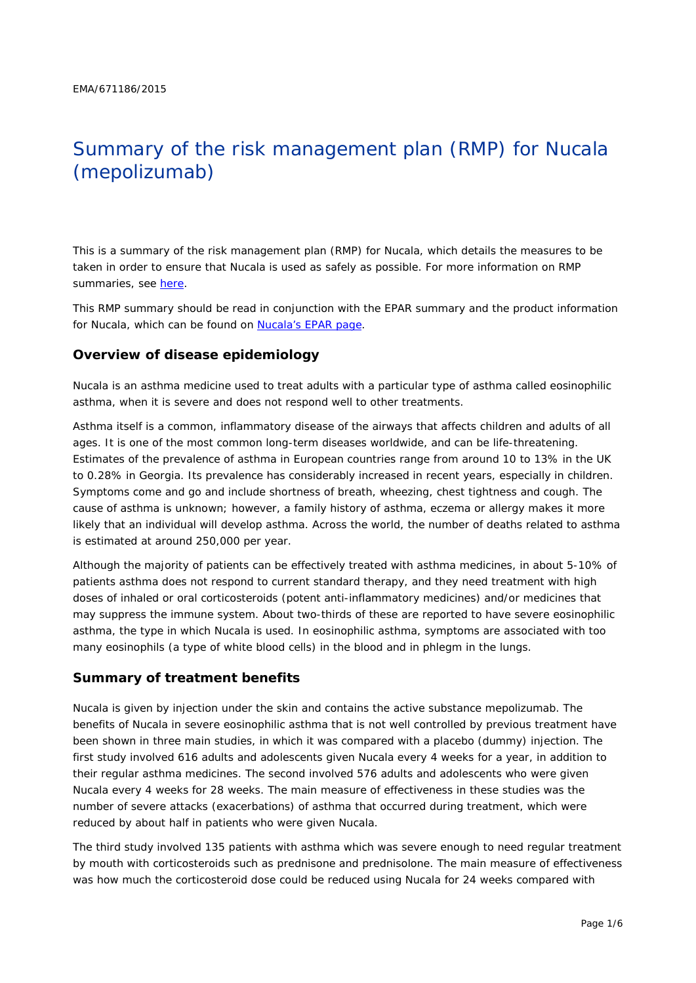# Summary of the risk management plan (RMP) for Nucala (mepolizumab)

This is a summary of the risk management plan (RMP) for Nucala, which details the measures to be taken in order to ensure that Nucala is used as safely as possible. For more information on RMP summaries, see [here.](http://www.ema.europa.eu/docs/en_GB/document_library/Other/2014/05/WC500166101.pdf)

This RMP summary should be read in conjunction with the EPAR summary and the product information for Nucala, which can be found on [Nucala's EPAR page.](http://www.ema.europa.eu/ema/index.jsp?curl=/pages/medicines/human/medicines/003860/human_med_001933.jsp)

#### **Overview of disease epidemiology**

Nucala is an asthma medicine used to treat adults with a particular type of asthma called eosinophilic asthma, when it is severe and does not respond well to other treatments.

Asthma itself is a common, inflammatory disease of the airways that affects children and adults of all ages. It is one of the most common long-term diseases worldwide, and can be life-threatening. Estimates of the prevalence of asthma in European countries range from around 10 to 13% in the UK to 0.28% in Georgia. Its prevalence has considerably increased in recent years, especially in children. Symptoms come and go and include shortness of breath, wheezing, chest tightness and cough. The cause of asthma is unknown; however, a family history of asthma, eczema or allergy makes it more likely that an individual will develop asthma. Across the world, the number of deaths related to asthma is estimated at around 250,000 per year.

Although the majority of patients can be effectively treated with asthma medicines, in about 5-10% of patients asthma does not respond to current standard therapy, and they need treatment with high doses of inhaled or oral corticosteroids (potent anti-inflammatory medicines) and/or medicines that may suppress the immune system. About two-thirds of these are reported to have severe eosinophilic asthma, the type in which Nucala is used. In eosinophilic asthma, symptoms are associated with too many eosinophils (a type of white blood cells) in the blood and in phlegm in the lungs.

## **Summary of treatment benefits**

Nucala is given by injection under the skin and contains the active substance mepolizumab. The benefits of Nucala in severe eosinophilic asthma that is not well controlled by previous treatment have been shown in three main studies, in which it was compared with a placebo (dummy) injection. The first study involved 616 adults and adolescents given Nucala every 4 weeks for a year, in addition to their regular asthma medicines. The second involved 576 adults and adolescents who were given Nucala every 4 weeks for 28 weeks. The main measure of effectiveness in these studies was the number of severe attacks (exacerbations) of asthma that occurred during treatment, which were reduced by about half in patients who were given Nucala.

The third study involved 135 patients with asthma which was severe enough to need regular treatment by mouth with corticosteroids such as prednisone and prednisolone. The main measure of effectiveness was how much the corticosteroid dose could be reduced using Nucala for 24 weeks compared with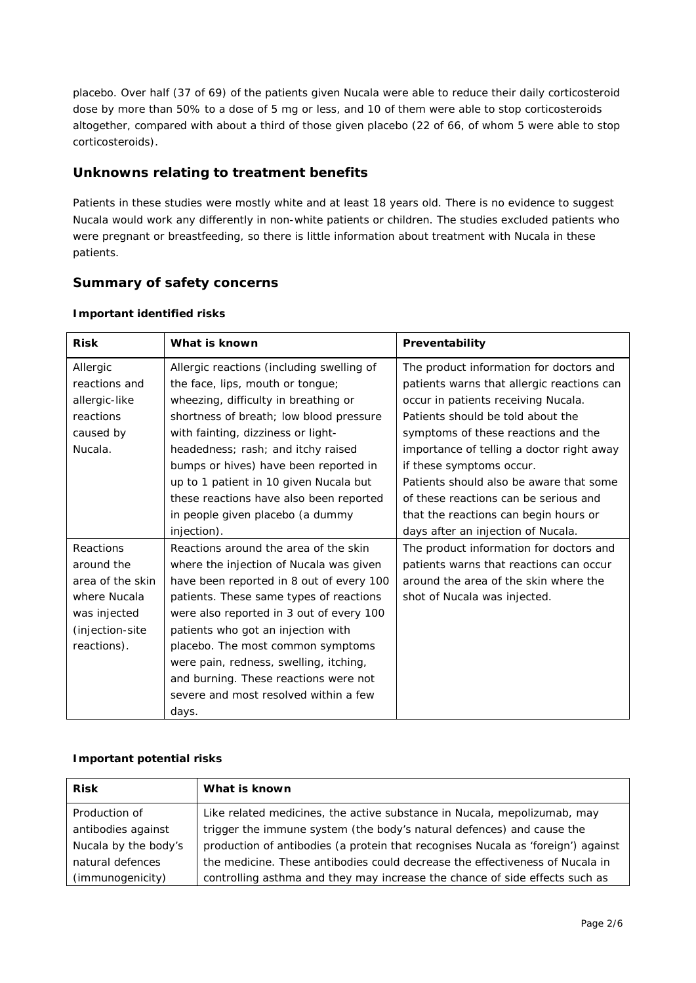placebo. Over half (37 of 69) of the patients given Nucala were able to reduce their daily corticosteroid dose by more than 50% to a dose of 5 mg or less, and 10 of them were able to stop corticosteroids altogether, compared with about a third of those given placebo (22 of 66, of whom 5 were able to stop corticosteroids).

## **Unknowns relating to treatment benefits**

Patients in these studies were mostly white and at least 18 years old. There is no evidence to suggest Nucala would work any differently in non-white patients or children. The studies excluded patients who were pregnant or breastfeeding, so there is little information about treatment with Nucala in these patients.

# **Summary of safety concerns**

| <b>Risk</b>      | What is known                             | Preventability                             |  |  |
|------------------|-------------------------------------------|--------------------------------------------|--|--|
| Allergic         | Allergic reactions (including swelling of | The product information for doctors and    |  |  |
| reactions and    | the face, lips, mouth or tongue;          | patients warns that allergic reactions can |  |  |
| allergic-like    | wheezing, difficulty in breathing or      | occur in patients receiving Nucala.        |  |  |
| reactions        | shortness of breath; low blood pressure   | Patients should be told about the          |  |  |
| caused by        | with fainting, dizziness or light-        | symptoms of these reactions and the        |  |  |
| Nucala.          | headedness; rash; and itchy raised        | importance of telling a doctor right away  |  |  |
|                  | bumps or hives) have been reported in     | if these symptoms occur.                   |  |  |
|                  | up to 1 patient in 10 given Nucala but    | Patients should also be aware that some    |  |  |
|                  | these reactions have also been reported   | of these reactions can be serious and      |  |  |
|                  | in people given placebo (a dummy          | that the reactions can begin hours or      |  |  |
|                  | injection).                               | days after an injection of Nucala.         |  |  |
| Reactions        | Reactions around the area of the skin     | The product information for doctors and    |  |  |
| around the       | where the injection of Nucala was given   | patients warns that reactions can occur    |  |  |
| area of the skin | have been reported in 8 out of every 100  | around the area of the skin where the      |  |  |
| where Nucala     | patients. These same types of reactions   | shot of Nucala was injected.               |  |  |
| was injected     | were also reported in 3 out of every 100  |                                            |  |  |
| (injection-site  | patients who got an injection with        |                                            |  |  |
| reactions).      | placebo. The most common symptoms         |                                            |  |  |
|                  | were pain, redness, swelling, itching,    |                                            |  |  |
|                  | and burning. These reactions were not     |                                            |  |  |
|                  | severe and most resolved within a few     |                                            |  |  |
|                  | days.                                     |                                            |  |  |

#### *Important identified risks*

#### *Important potential risks*

| <b>Risk</b>          | What is known                                                                    |
|----------------------|----------------------------------------------------------------------------------|
| Production of        | Like related medicines, the active substance in Nucala, mepolizumab, may         |
| antibodies against   | trigger the immune system (the body's natural defences) and cause the            |
| Nucala by the body's | production of antibodies (a protein that recognises Nucala as 'foreign') against |
| natural defences     | the medicine. These antibodies could decrease the effectiveness of Nucala in     |
| (immunogenicity)     | controlling asthma and they may increase the chance of side effects such as      |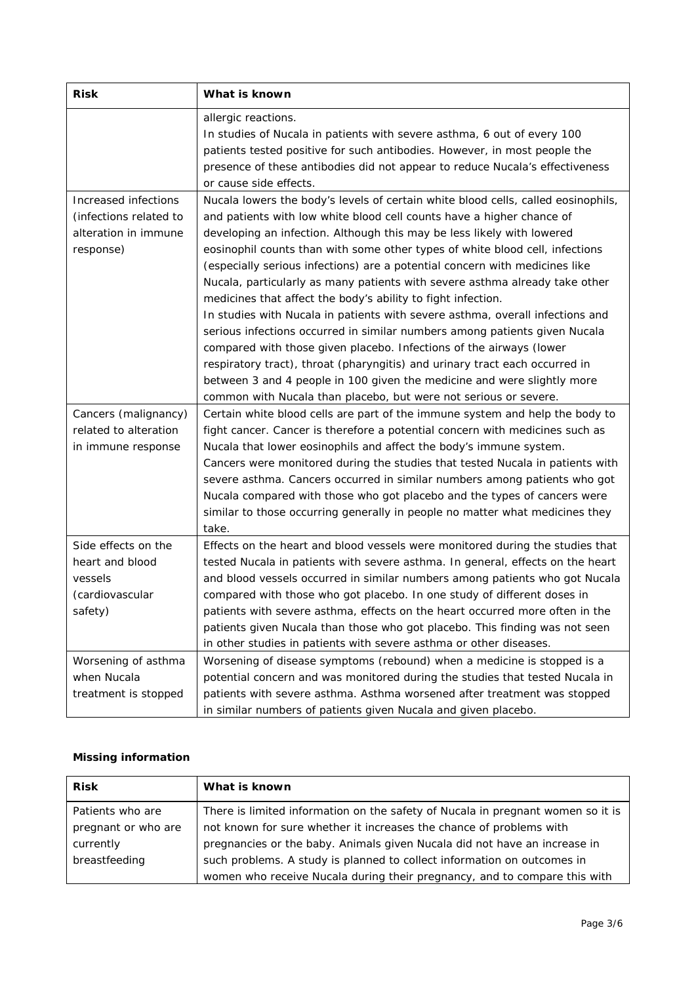| <b>Risk</b>                                                                         | What is known                                                                                                                                                                                                                                                                                                                                                                                                                                                                                                                                                                                                                                                                                                                                                                                                                                                                                                                                                                                                          |
|-------------------------------------------------------------------------------------|------------------------------------------------------------------------------------------------------------------------------------------------------------------------------------------------------------------------------------------------------------------------------------------------------------------------------------------------------------------------------------------------------------------------------------------------------------------------------------------------------------------------------------------------------------------------------------------------------------------------------------------------------------------------------------------------------------------------------------------------------------------------------------------------------------------------------------------------------------------------------------------------------------------------------------------------------------------------------------------------------------------------|
|                                                                                     | allergic reactions.<br>In studies of Nucala in patients with severe asthma, 6 out of every 100<br>patients tested positive for such antibodies. However, in most people the<br>presence of these antibodies did not appear to reduce Nucala's effectiveness<br>or cause side effects.                                                                                                                                                                                                                                                                                                                                                                                                                                                                                                                                                                                                                                                                                                                                  |
| Increased infections<br>(infections related to<br>alteration in immune<br>response) | Nucala lowers the body's levels of certain white blood cells, called eosinophils,<br>and patients with low white blood cell counts have a higher chance of<br>developing an infection. Although this may be less likely with lowered<br>eosinophil counts than with some other types of white blood cell, infections<br>(especially serious infections) are a potential concern with medicines like<br>Nucala, particularly as many patients with severe asthma already take other<br>medicines that affect the body's ability to fight infection.<br>In studies with Nucala in patients with severe asthma, overall infections and<br>serious infections occurred in similar numbers among patients given Nucala<br>compared with those given placebo. Infections of the airways (lower<br>respiratory tract), throat (pharyngitis) and urinary tract each occurred in<br>between 3 and 4 people in 100 given the medicine and were slightly more<br>common with Nucala than placebo, but were not serious or severe. |
| Cancers (malignancy)<br>related to alteration<br>in immune response                 | Certain white blood cells are part of the immune system and help the body to<br>fight cancer. Cancer is therefore a potential concern with medicines such as<br>Nucala that lower eosinophils and affect the body's immune system.<br>Cancers were monitored during the studies that tested Nucala in patients with<br>severe asthma. Cancers occurred in similar numbers among patients who got<br>Nucala compared with those who got placebo and the types of cancers were<br>similar to those occurring generally in people no matter what medicines they<br>take.                                                                                                                                                                                                                                                                                                                                                                                                                                                  |
| Side effects on the<br>heart and blood<br>vessels<br>(cardiovascular<br>safety)     | Effects on the heart and blood vessels were monitored during the studies that<br>tested Nucala in patients with severe asthma. In general, effects on the heart<br>and blood vessels occurred in similar numbers among patients who got Nucala<br>compared with those who got placebo. In one study of different doses in<br>patients with severe asthma, effects on the heart occurred more often in the<br>patients given Nucala than those who got placebo. This finding was not seen<br>in other studies in patients with severe asthma or other diseases.                                                                                                                                                                                                                                                                                                                                                                                                                                                         |
| Worsening of asthma<br>when Nucala<br>treatment is stopped                          | Worsening of disease symptoms (rebound) when a medicine is stopped is a<br>potential concern and was monitored during the studies that tested Nucala in<br>patients with severe asthma. Asthma worsened after treatment was stopped<br>in similar numbers of patients given Nucala and given placebo.                                                                                                                                                                                                                                                                                                                                                                                                                                                                                                                                                                                                                                                                                                                  |

#### *Missing information*

| <b>Risk</b>         | What is known                                                                   |
|---------------------|---------------------------------------------------------------------------------|
| Patients who are    | There is limited information on the safety of Nucala in pregnant women so it is |
| pregnant or who are | not known for sure whether it increases the chance of problems with             |
| currently           | pregnancies or the baby. Animals given Nucala did not have an increase in       |
| breastfeeding       | such problems. A study is planned to collect information on outcomes in         |
|                     | women who receive Nucala during their pregnancy, and to compare this with       |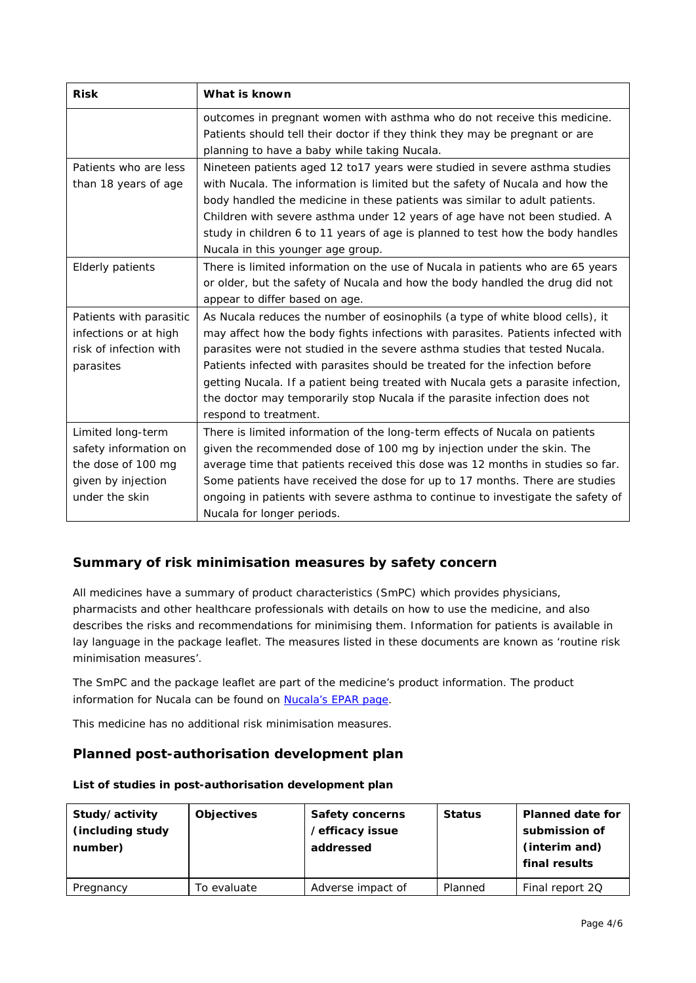| <b>Risk</b>             | What is known                                                                     |  |
|-------------------------|-----------------------------------------------------------------------------------|--|
|                         | outcomes in pregnant women with asthma who do not receive this medicine.          |  |
|                         | Patients should tell their doctor if they think they may be pregnant or are       |  |
|                         | planning to have a baby while taking Nucala.                                      |  |
| Patients who are less   | Nineteen patients aged 12 to17 years were studied in severe asthma studies        |  |
| than 18 years of age    | with Nucala. The information is limited but the safety of Nucala and how the      |  |
|                         | body handled the medicine in these patients was similar to adult patients.        |  |
|                         | Children with severe asthma under 12 years of age have not been studied. A        |  |
|                         | study in children 6 to 11 years of age is planned to test how the body handles    |  |
|                         | Nucala in this younger age group.                                                 |  |
| <b>Elderly patients</b> | There is limited information on the use of Nucala in patients who are 65 years    |  |
|                         | or older, but the safety of Nucala and how the body handled the drug did not      |  |
|                         | appear to differ based on age.                                                    |  |
| Patients with parasitic | As Nucala reduces the number of eosinophils (a type of white blood cells), it     |  |
| infections or at high   | may affect how the body fights infections with parasites. Patients infected with  |  |
| risk of infection with  | parasites were not studied in the severe asthma studies that tested Nucala.       |  |
| parasites               | Patients infected with parasites should be treated for the infection before       |  |
|                         | getting Nucala. If a patient being treated with Nucala gets a parasite infection, |  |
|                         | the doctor may temporarily stop Nucala if the parasite infection does not         |  |
|                         | respond to treatment.                                                             |  |
| Limited long-term       | There is limited information of the long-term effects of Nucala on patients       |  |
| safety information on   | given the recommended dose of 100 mg by injection under the skin. The             |  |
| the dose of 100 mg      | average time that patients received this dose was 12 months in studies so far.    |  |
| given by injection      | Some patients have received the dose for up to 17 months. There are studies       |  |
| under the skin          | ongoing in patients with severe asthma to continue to investigate the safety of   |  |
|                         | Nucala for longer periods.                                                        |  |

# **Summary of risk minimisation measures by safety concern**

All medicines have a summary of product characteristics (SmPC) which provides physicians, pharmacists and other healthcare professionals with details on how to use the medicine, and also describes the risks and recommendations for minimising them. Information for patients is available in lay language in the package leaflet. The measures listed in these documents are known as 'routine risk minimisation measures'.

The SmPC and the package leaflet are part of the medicine's product information. The product information for Nucala can be found on [Nucala's EPAR page.](http://www.ema.europa.eu/ema/index.jsp?curl=/pages/medicines/human/medicines/003860/human_med_001933.jsp)

This medicine has no additional risk minimisation measures.

## **Planned post-authorisation development plan**

| Study/activity<br>(including study<br>number) | <b>Objectives</b> | Safety concerns<br>/efficacy issue<br>addressed | <b>Status</b> | <b>Planned date for</b><br>submission of<br>(interim and)<br>final results |
|-----------------------------------------------|-------------------|-------------------------------------------------|---------------|----------------------------------------------------------------------------|
| Pregnancy                                     | To evaluate       | Adverse impact of                               | Planned       | Final report 2Q                                                            |

*List of studies in post-authorisation development plan*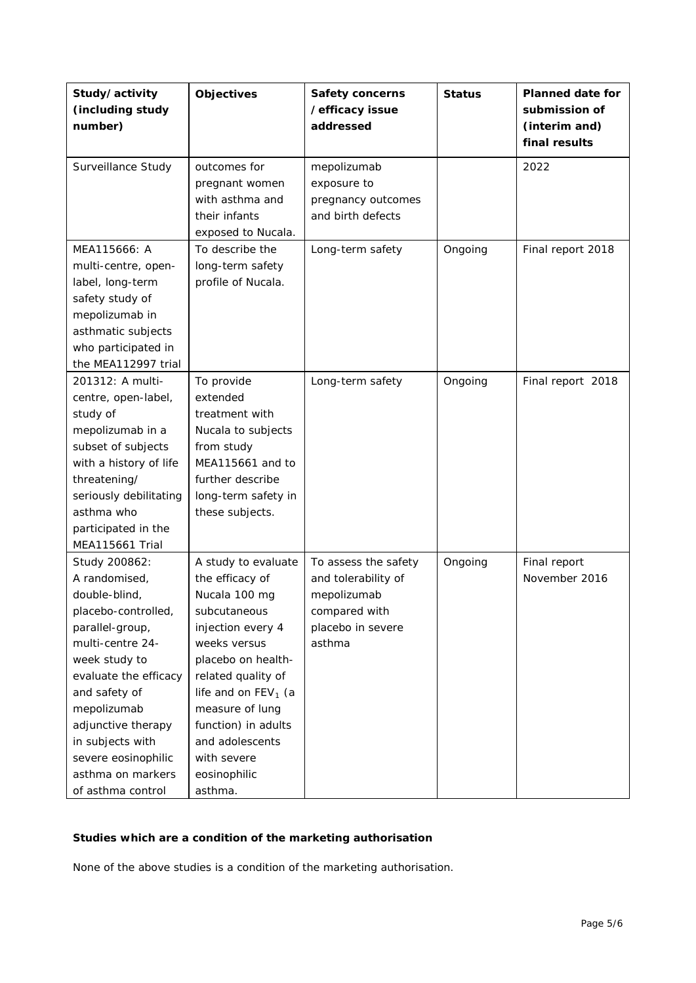| Study/activity<br>(including study<br>number)                                                                                                                                                                                                                                                      | <b>Objectives</b>                                                                                                                                                                                                                                                                        | Safety concerns<br>/efficacy issue<br>addressed                                                            | <b>Status</b> | <b>Planned date for</b><br>submission of<br>(interim and)<br>final results |
|----------------------------------------------------------------------------------------------------------------------------------------------------------------------------------------------------------------------------------------------------------------------------------------------------|------------------------------------------------------------------------------------------------------------------------------------------------------------------------------------------------------------------------------------------------------------------------------------------|------------------------------------------------------------------------------------------------------------|---------------|----------------------------------------------------------------------------|
| Surveillance Study                                                                                                                                                                                                                                                                                 | outcomes for<br>pregnant women<br>with asthma and<br>their infants<br>exposed to Nucala.                                                                                                                                                                                                 | mepolizumab<br>exposure to<br>pregnancy outcomes<br>and birth defects                                      |               | 2022                                                                       |
| MEA115666: A<br>multi-centre, open-<br>label, long-term<br>safety study of<br>mepolizumab in<br>asthmatic subjects<br>who participated in<br>the MEA112997 trial                                                                                                                                   | To describe the<br>long-term safety<br>profile of Nucala.                                                                                                                                                                                                                                | Long-term safety                                                                                           | Ongoing       | Final report 2018                                                          |
| 201312: A multi-<br>centre, open-label,<br>study of<br>mepolizumab in a<br>subset of subjects<br>with a history of life<br>threatening/<br>seriously debilitating<br>asthma who<br>participated in the<br><b>MEA115661 Trial</b>                                                                   | To provide<br>extended<br>treatment with<br>Nucala to subjects<br>from study<br>MEA115661 and to<br>further describe<br>long-term safety in<br>these subjects.                                                                                                                           | Long-term safety                                                                                           | Ongoing       | Final report 2018                                                          |
| Study 200862:<br>A randomised,<br>double-blind,<br>placebo-controlled,<br>parallel-group,<br>multi-centre 24-<br>week study to<br>evaluate the efficacy<br>and safety of<br>mepolizumab<br>adjunctive therapy<br>in subjects with<br>severe eosinophilic<br>asthma on markers<br>of asthma control | A study to evaluate<br>the efficacy of<br>Nucala 100 mg<br>subcutaneous<br>injection every 4<br>weeks versus<br>placebo on health-<br>related quality of<br>life and on $FEV1$ (a<br>measure of lung<br>function) in adults<br>and adolescents<br>with severe<br>eosinophilic<br>asthma. | To assess the safety<br>and tolerability of<br>mepolizumab<br>compared with<br>placebo in severe<br>asthma | Ongoing       | Final report<br>November 2016                                              |

# *Studies which are a condition of the marketing authorisation*

None of the above studies is a condition of the marketing authorisation.